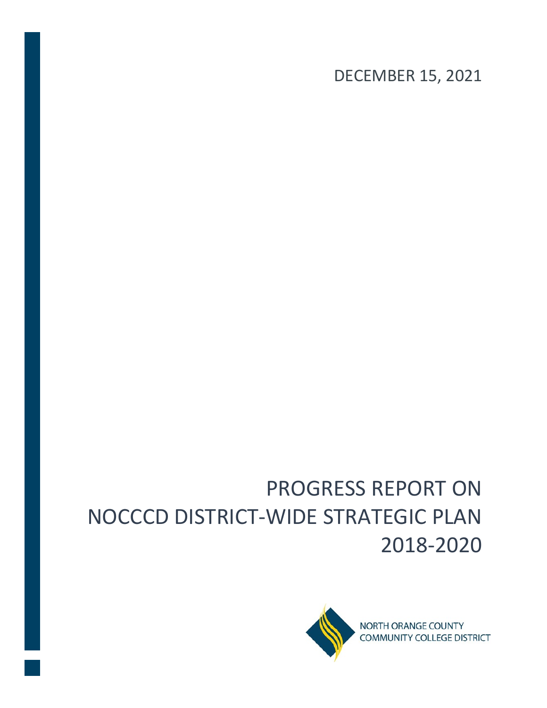DECEMBER 15, 2021

# PROGRESS REPORT ON NOCCCD DISTRICT-WIDE STRATEGIC PLAN 2018-2020

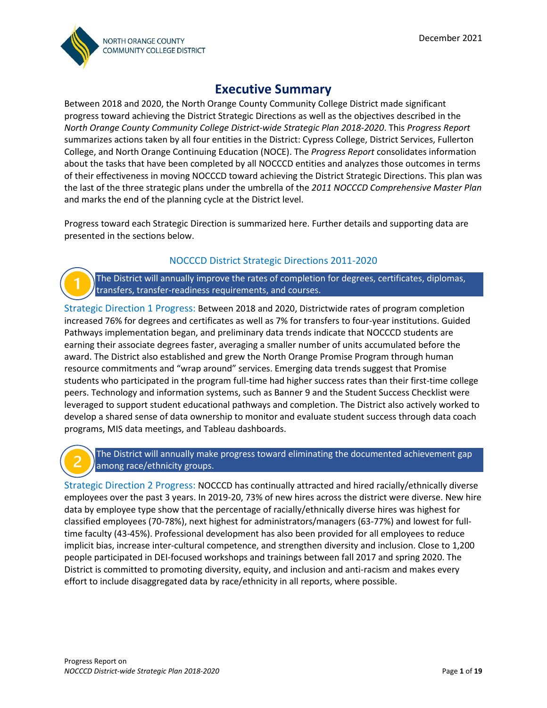

## **Executive Summary**

Between 2018 and 2020, the North Orange County Community College District made significant progress toward achieving the District Strategic Directions as well as the objectives described in the *North Orange County Community College District-wide Strategic Plan 2018-2020*. This *Progress Report* summarizes actions taken by all four entities in the District: Cypress College, District Services, Fullerton College, and North Orange Continuing Education (NOCE). The *Progress Report* consolidates information about the tasks that have been completed by all NOCCCD entities and analyzes those outcomes in terms of their effectiveness in moving NOCCCD toward achieving the District Strategic Directions. This plan was the last of the three strategic plans under the umbrella of the *2011 NOCCCD Comprehensive Master Plan* and marks the end of the planning cycle at the District level.

Progress toward each Strategic Direction is summarized here. Further details and supporting data are presented in the sections below.

#### NOCCCD District Strategic Directions 2011-2020

The District will annually improve the rates of completion for degrees, certificates, diplomas, transfers, transfer-readiness requirements, and courses.

Strategic Direction 1 Progress: Between 2018 and 2020, Districtwide rates of program completion increased 76% for degrees and certificates as well as 7% for transfers to four-year institutions. Guided Pathways implementation began, and preliminary data trends indicate that NOCCCD students are earning their associate degrees faster, averaging a smaller number of units accumulated before the award. The District also established and grew the North Orange Promise Program through human resource commitments and "wrap around" services. Emerging data trends suggest that Promise students who participated in the program full-time had higher success rates than their first-time college peers. Technology and information systems, such as Banner 9 and the Student Success Checklist were leveraged to support student educational pathways and completion. The District also actively worked to develop a shared sense of data ownership to monitor and evaluate student success through data coach programs, MIS data meetings, and Tableau dashboards.

The District will annually make progress toward eliminating the documented achievement gap among race/ethnicity groups.

Strategic Direction 2 Progress: NOCCCD has continually attracted and hired racially/ethnically diverse employees over the past 3 years. In 2019-20, 73% of new hires across the district were diverse. New hire data by employee type show that the percentage of racially/ethnically diverse hires was highest for classified employees (70-78%), next highest for administrators/managers (63-77%) and lowest for fulltime faculty (43-45%). Professional development has also been provided for all employees to reduce implicit bias, increase inter-cultural competence, and strengthen diversity and inclusion. Close to 1,200 people participated in DEI-focused workshops and trainings between fall 2017 and spring 2020. The District is committed to promoting diversity, equity, and inclusion and anti-racism and makes every effort to include disaggregated data by race/ethnicity in all reports, where possible.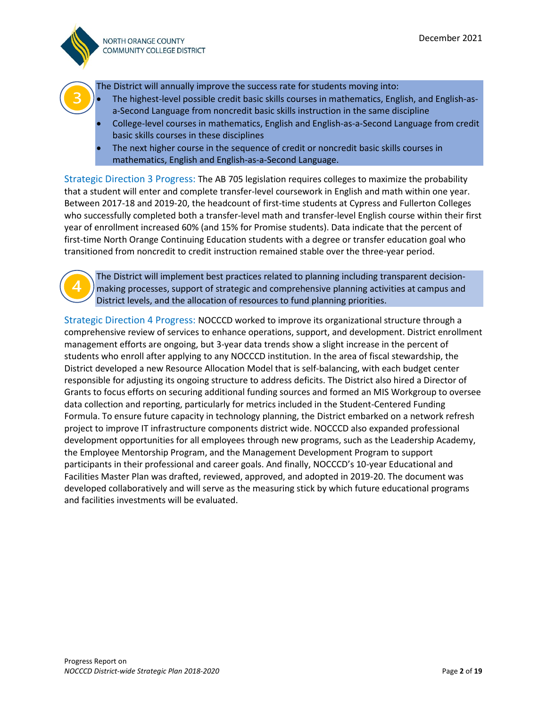

The District will annually improve the success rate for students moving into:

- The highest-level possible credit basic skills courses in mathematics, English, and English-asa-Second Language from noncredit basic skills instruction in the same discipline
- College-level courses in mathematics, English and English-as-a-Second Language from credit basic skills courses in these disciplines
- The next higher course in the sequence of credit or noncredit basic skills courses in mathematics, English and English-as-a-Second Language.

Strategic Direction 3 Progress: The AB 705 legislation requires colleges to maximize the probability that a student will enter and complete transfer-level coursework in English and math within one year. Between 2017-18 and 2019-20, the headcount of first-time students at Cypress and Fullerton Colleges who successfully completed both a transfer-level math and transfer-level English course within their first year of enrollment increased 60% (and 15% for Promise students). Data indicate that the percent of first-time North Orange Continuing Education students with a degree or transfer education goal who transitioned from noncredit to credit instruction remained stable over the three-year period.

The District will implement best practices related to planning including transparent decisionmaking processes, support of strategic and comprehensive planning activities at campus and District levels, and the allocation of resources to fund planning priorities.

Strategic Direction 4 Progress: NOCCCD worked to improve its organizational structure through a comprehensive review of services to enhance operations, support, and development. District enrollment management efforts are ongoing, but 3-year data trends show a slight increase in the percent of students who enroll after applying to any NOCCCD institution. In the area of fiscal stewardship, the District developed a new Resource Allocation Model that is self-balancing, with each budget center responsible for adjusting its ongoing structure to address deficits. The District also hired a Director of Grants to focus efforts on securing additional funding sources and formed an MIS Workgroup to oversee data collection and reporting, particularly for metrics included in the Student-Centered Funding Formula. To ensure future capacity in technology planning, the District embarked on a network refresh project to improve IT infrastructure components district wide. NOCCCD also expanded professional development opportunities for all employees through new programs, such as the Leadership Academy, the Employee Mentorship Program, and the Management Development Program to support participants in their professional and career goals. And finally, NOCCCD's 10-year Educational and Facilities Master Plan was drafted, reviewed, approved, and adopted in 2019-20. The document was developed collaboratively and will serve as the measuring stick by which future educational programs and facilities investments will be evaluated.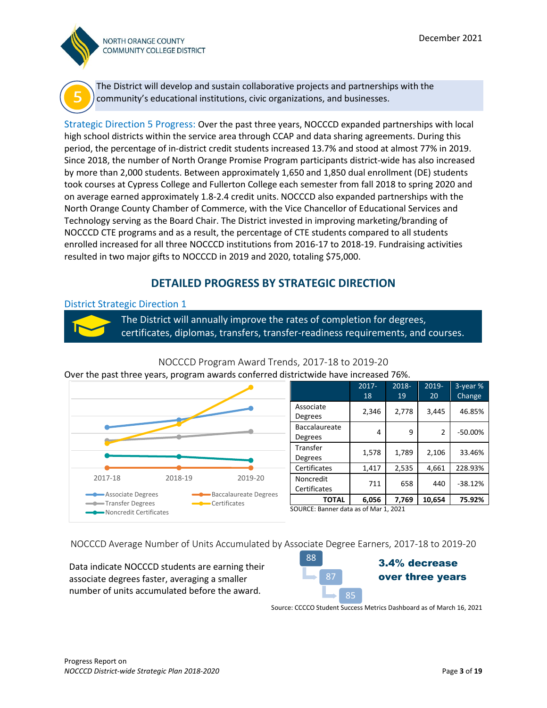



The District will develop and sustain collaborative projects and partnerships with the community's educational institutions, civic organizations, and businesses.

Strategic Direction 5 Progress: Over the past three years, NOCCCD expanded partnerships with local high school districts within the service area through CCAP and data sharing agreements. During this period, the percentage of in-district credit students increased 13.7% and stood at almost 77% in 2019. Since 2018, the number of North Orange Promise Program participants district-wide has also increased by more than 2,000 students. Between approximately 1,650 and 1,850 dual enrollment (DE) students took courses at Cypress College and Fullerton College each semester from fall 2018 to spring 2020 and on average earned approximately 1.8-2.4 credit units. NOCCCD also expanded partnerships with the North Orange County Chamber of Commerce, with the Vice Chancellor of Educational Services and Technology serving as the Board Chair. The District invested in improving marketing/branding of NOCCCD CTE programs and as a result, the percentage of CTE students compared to all students enrolled increased for all three NOCCCD institutions from 2016-17 to 2018-19. Fundraising activities resulted in two major gifts to NOCCCD in 2019 and 2020, totaling \$75,000.

### **DETAILED PROGRESS BY STRATEGIC DIRECTION**

#### District Strategic Direction 1

The District will annually improve the rates of completion for degrees, certificates, diplomas, transfers, transfer-readiness requirements, and courses.



|                | $2017 -$ | 2018- | $2019 -$ | 3-year %  |
|----------------|----------|-------|----------|-----------|
|                | 18       | 19    | 20       | Change    |
| Associate      |          |       |          |           |
| Degrees        | 2,346    | 2,778 | 3,445    | 46.85%    |
| Baccalaureate  |          |       |          |           |
| Degrees        | 4        | 9     | 2        | $-50.00%$ |
| Transfer       |          |       |          |           |
| <b>Degrees</b> | 1,578    | 1,789 | 2,106    | 33.46%    |
| Certificates   | 1,417    | 2,535 | 4,661    | 228.93%   |
| Noncredit      |          |       |          |           |
| Certificates   | 711      | 658   | 440      | $-38.12%$ |
| <b>TOTAL</b>   | 6,056    | 7,769 | 10,654   | 75.92%    |

#### NOCCCD Program Award Trends, 2017-18 to 2019-20

SOURCE: Banner data as of Mar 1, 2021

NOCCCD Average Number of Units Accumulated by Associate Degree Earners, 2017-18 to 2019-20

Data indicate NOCCCD students are earning their associate degrees faster, averaging a smaller number of units accumulated before the award.



Source: CCCCO Student Success Metrics Dashboard as of March 16, 2021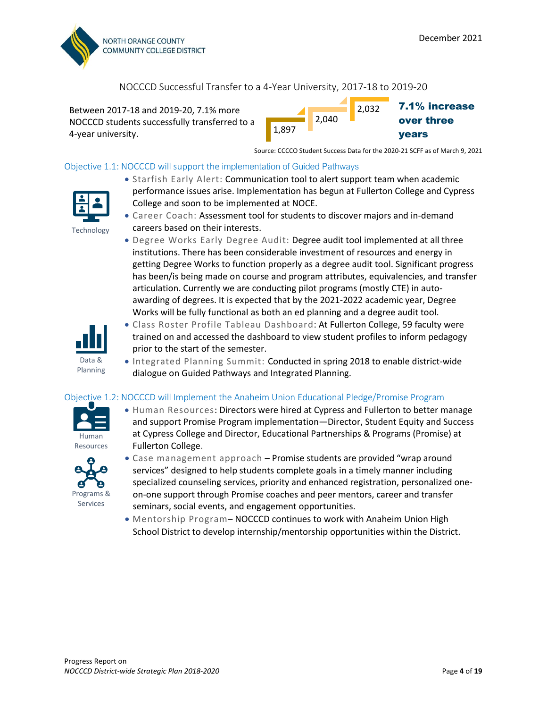

#### NOCCCD Successful Transfer to a 4-Year University, 2017-18 to 2019-20

Between 2017-18 and 2019-20, 7.1% more NOCCCD students successfully transferred to a 4-year university.



Source: CCCCO Student Success Data for the 2020-21 SCFF as of March 9, 2021

#### Objective 1.1: NOCCCD will support the implementation of Guided Pathways



- Starfish Early Alert: Communication tool to alert support team when academic performance issues arise. Implementation has begun at Fullerton College and Cypress College and soon to be implemented at NOCE.
- Career Coach: Assessment tool for students to discover majors and in-demand careers based on their interests.
	- Degree Works Early Degree Audit: Degree audit tool implemented at all three institutions. There has been considerable investment of resources and energy in getting Degree Works to function properly as a degree audit tool. Significant progress has been/is being made on course and program attributes, equivalencies, and transfer articulation. Currently we are conducting pilot programs (mostly CTE) in autoawarding of degrees. It is expected that by the 2021-2022 academic year, Degree Works will be fully functional as both an ed planning and a degree audit tool.



Planning

- Class Roster Profile Tableau Dashboard: At Fullerton College, 59 faculty were trained on and accessed the dashboard to view student profiles to inform pedagogy prior to the start of the semester.
- Integrated Planning Summit: Conducted in spring 2018 to enable district-wide dialogue on Guided Pathways and Integrated Planning.

#### Objective 1.2: NOCCCD will Implement the Anaheim Union Educational Pledge/Promise Program



• Human Resources: Directors were hired at Cypress and Fullerton to better manage and support Promise Program implementation—Director, Student Equity and Success at Cypress College and Director, Educational Partnerships & Programs (Promise) at Fullerton College.



- Case management approach Promise students are provided "wrap around services" designed to help students complete goals in a timely manner including specialized counseling services, priority and enhanced registration, personalized oneon-one support through Promise coaches and peer mentors, career and transfer seminars, social events, and engagement opportunities.
- Mentorship Program– NOCCCD continues to work with Anaheim Union High School District to develop internship/mentorship opportunities within the District.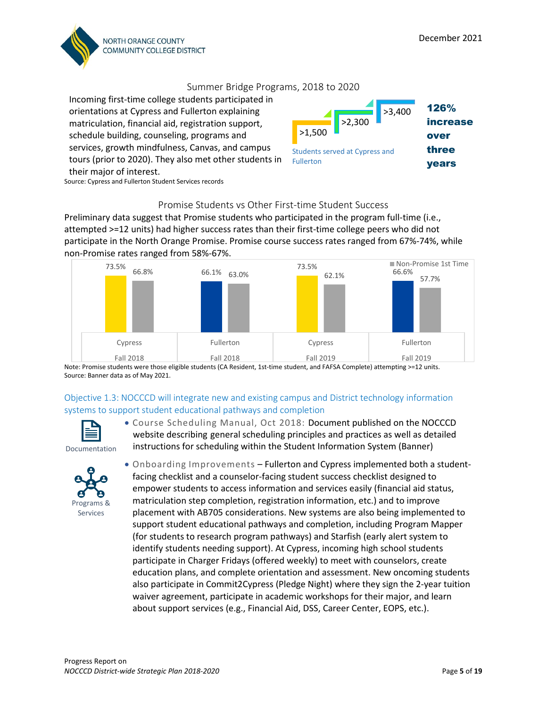

#### Summer Bridge Programs, 2018 to 2020

Incoming first-time college students participated in orientations at Cypress and Fullerton explaining matriculation, financial aid, registration support, schedule building, counseling, programs and services, growth mindfulness, Canvas, and campus tours (prior to 2020). They also met other students in their major of interest.



Source: Cypress and Fullerton Student Services records

#### Promise Students vs Other First-time Student Success

Preliminary data suggest that Promise students who participated in the program full-time (i.e., attempted >=12 units) had higher success rates than their first-time college peers who did not participate in the North Orange Promise. Promise course success rates ranged from 67%-74%, while non-Promise rates ranged from 58%-67%.



Note: Promise students were those eligible students (CA Resident, 1st-time student, and FAFSA Complete) attempting >=12 units. Source: Banner data as of May 2021.

#### Objective 1.3: NOCCCD will integrate new and existing campus and District technology information systems to support student educational pathways and completion



website describing general scheduling principles and practices as well as detailed instructions for scheduling within the Student Information System (Banner) Documentation



• Onboarding Improvements – Fullerton and Cypress implemented both a studentfacing checklist and a counselor-facing student success checklist designed to empower students to access information and services easily (financial aid status, matriculation step completion, registration information, etc.) and to improve placement with AB705 considerations. New systems are also being implemented to support student educational pathways and completion, including Program Mapper (for students to research program pathways) and Starfish (early alert system to identify students needing support). At Cypress, incoming high school students participate in Charger Fridays (offered weekly) to meet with counselors, create education plans, and complete orientation and assessment. New oncoming students also participate in Commit2Cypress (Pledge Night) where they sign the 2-year tuition waiver agreement, participate in academic workshops for their major, and learn about support services (e.g., Financial Aid, DSS, Career Center, EOPS, etc.).

• Course Scheduling Manual, Oct 2018: Document published on the NOCCCD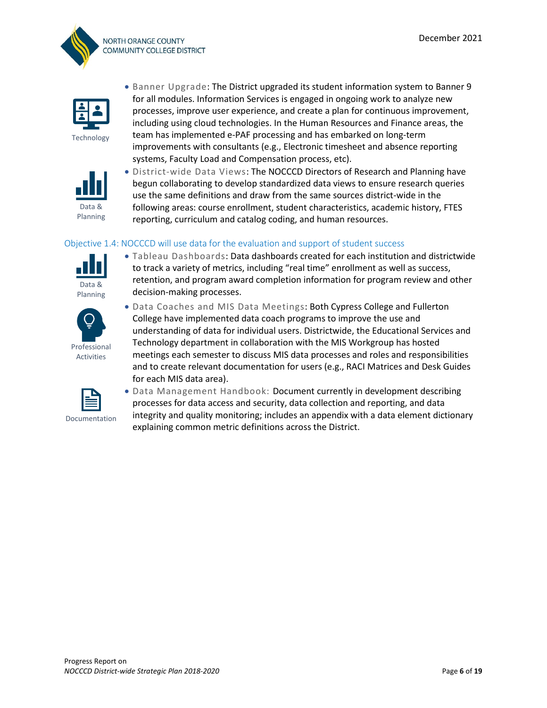



Technology



- Banner Upgrade: The District upgraded its student information system to Banner 9 for all modules. Information Services is engaged in ongoing work to analyze new processes, improve user experience, and create a plan for continuous improvement, including using cloud technologies. In the Human Resources and Finance areas, the team has implemented e-PAF processing and has embarked on long-term improvements with consultants (e.g., Electronic timesheet and absence reporting systems, Faculty Load and Compensation process, etc).
- District-wide Data Views: The NOCCCD Directors of Research and Planning have begun collaborating to develop standardized data views to ensure research queries use the same definitions and draw from the same sources district-wide in the following areas: course enrollment, student characteristics, academic history, FTES reporting, curriculum and catalog coding, and human resources.

#### Objective 1.4: NOCCCD will use data for the evaluation and support of student success



• Tableau Dashboards: Data dashboards created for each institution and districtwide to track a variety of metrics, including "real time" enrollment as well as success, retention, and program award completion information for program review and other decision-making processes.



• Data Coaches and MIS Data Meetings: Both Cypress College and Fullerton College have implemented data coach programs to improve the use and understanding of data for individual users. Districtwide, the Educational Services and Technology department in collaboration with the MIS Workgroup has hosted meetings each semester to discuss MIS data processes and roles and responsibilities and to create relevant documentation for users (e.g., RACI Matrices and Desk Guides for each MIS data area).



• Data Management Handbook: Document currently in development describing processes for data access and security, data collection and reporting, and data integrity and quality monitoring; includes an appendix with a data element dictionary explaining common metric definitions across the District.

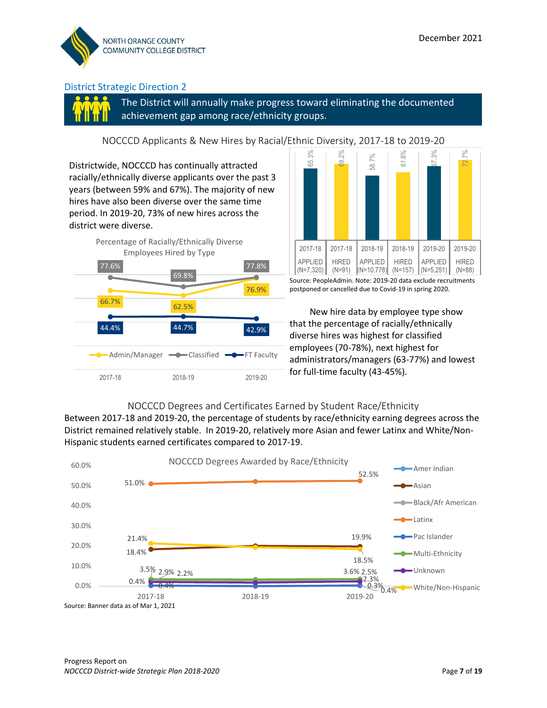

The District will annually make progress toward eliminating the documented achievement gap among race/ethnicity groups.

NOCCCD Applicants & New Hires by Racial/Ethnic Diversity, 2017-18 to 2019-20

Districtwide, NOCCCD has continually attracted racially/ethnically diverse applicants over the past 3 years (between 59% and 67%). The majority of new hires have also been diverse over the same time period. In 2019-20, 73% of new hires across the district were diverse.





Source: PeopleAdmin. Note: 2019-20 data exclude recruitments postponed or cancelled due to Covid-19 in spring 2020.

 New hire data by employee type show that the percentage of racially/ethnically diverse hires was highest for classified employees (70-78%), next highest for administrators/managers (63-77%) and lowest for full-time faculty (43-45%).

#### NOCCCD Degrees and Certificates Earned by Student Race/Ethnicity

Between 2017-18 and 2019-20, the percentage of students by race/ethnicity earning degrees across the District remained relatively stable. In 2019-20, relatively more Asian and fewer Latinx and White/Non-Hispanic students earned certificates compared to 2017-19.

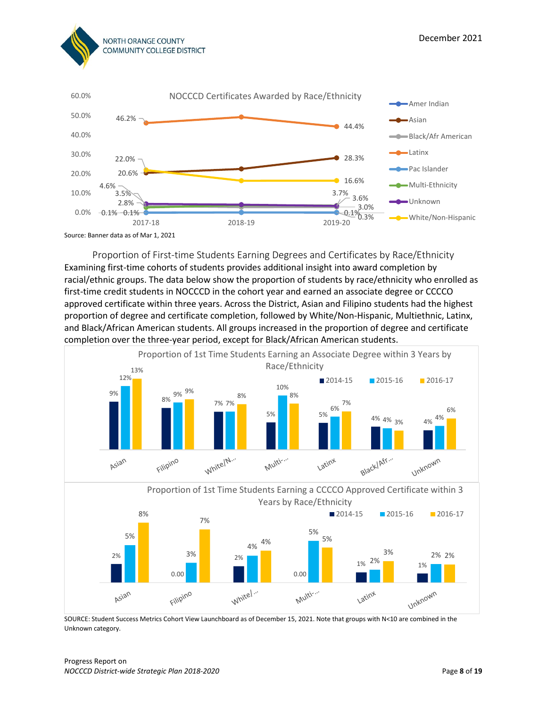

Proportion of First-time Students Earning Degrees and Certificates by Race/Ethnicity Examining first-time cohorts of students provides additional insight into award completion by racial/ethnic groups. The data below show the proportion of students by race/ethnicity who enrolled as first-time credit students in NOCCCD in the cohort year and earned an associate degree or CCCCO approved certificate within three years. Across the District, Asian and Filipino students had the highest proportion of degree and certificate completion, followed by White/Non-Hispanic, Multiethnic, Latinx, and Black/African American students. All groups increased in the proportion of degree and certificate completion over the three-year period, except for Black/African American students.



SOURCE: Student Success Metrics Cohort View Launchboard as of December 15, 2021. Note that groups with N<10 are combined in the Unknown category.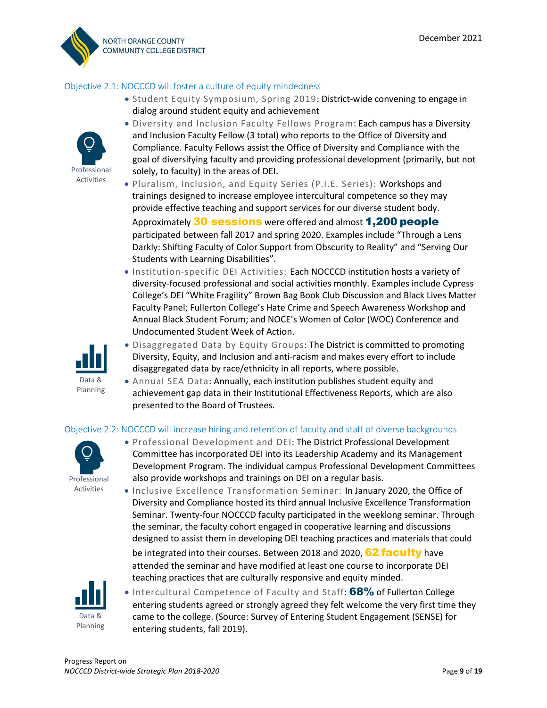

#### Objective 2.1: NOCCCD will foster a culture of equity mindedness

• Student Equity Symposium, Spring 2019: District-wide convening to engage in dialog around student equity and achievement



- Diversity and Inclusion Faculty Fellows Program: Each campus has a Diversity and Inclusion Faculty Fellow (3 total) who reports to the Office of Diversity and Compliance. Faculty Fellows assist the Office of Diversity and Compliance with the goal of diversifying faculty and providing professional development (primarily, but not solely, to faculty) in the areas of DEI.
- Pluralism, Inclusion, and Equity Series (P.I.E. Series): Workshops and trainings designed to increase employee intercultural competence so they may provide effective teaching and support services for our diverse student body. Approximately 30 sessions were offered and almost 1,200 people participated between fall 2017 and spring 2020. Examples include "Through a Lens Darkly: Shifting Faculty of Color Support from Obscurity to Reality" and "Serving Our Students with Learning Disabilities".
- Institution-specific DEI Activities: Each NOCCCD institution hosts a variety of diversity-focused professional and social activities monthly. Examples include Cypress College's DEI "White Fragility" Brown Bag Book Club Discussion and Black Lives Matter Faculty Panel; Fullerton College's Hate Crime and Speech Awareness Workshop and Annual Black Student Forum; and NOCE's Women of Color (WOC) Conference and Undocumented Student Week of Action.



- Disaggregated Data by Equity Groups: The District is committed to promoting Diversity, Equity, and Inclusion and anti-racism and makes every effort to include disaggregated data by race/ethnicity in all reports, where possible.
- Annual SEA Data: Annually, each institution publishes student equity and achievement gap data in their Institutional Effectiveness Reports, which are also presented to the Board of Trustees.

#### Objective 2.2: NOCCCD will increase hiring and retention of faculty and staff of diverse backgrounds



- Professional Development and DEI: The District Professional Development Committee has incorporated DEI into its Leadership Academy and its Management Development Program. The individual campus Professional Development Committees also provide workshops and trainings on DEI on a regular basis.
- Inclusive Excellence Transformation Seminar: In January 2020, the Office of Diversity and Compliance hosted its third annual Inclusive Excellence Transformation Seminar. Twenty-four NOCCCD faculty participated in the weeklong seminar. Through the seminar, the faculty cohort engaged in cooperative learning and discussions designed to assist them in developing DEI teaching practices and materials that could be integrated into their courses. Between 2018 and 2020, 62 faculty have attended the seminar and have modified at least one course to incorporate DEI teaching practices that are culturally responsive and equity minded.



• Intercultural Competence of Faculty and Staff: 68% of Fullerton College entering students agreed or strongly agreed they felt welcome the very first time they came to the college. (Source: Survey of Entering Student Engagement (SENSE) for entering students, fall 2019).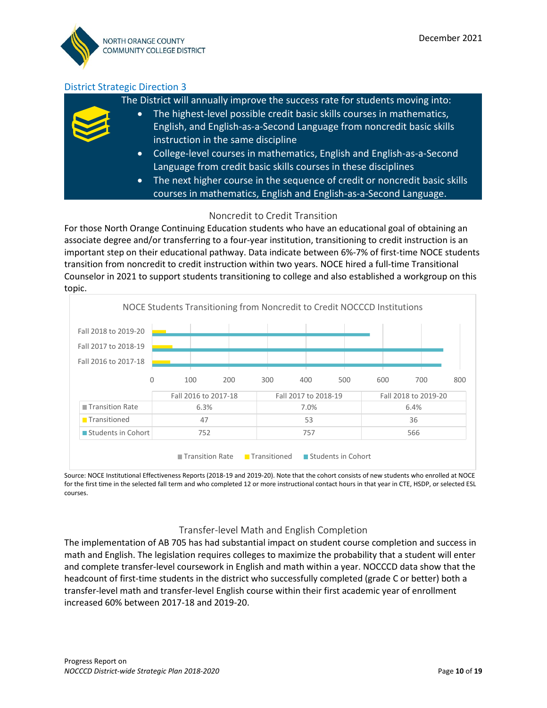The District will annually improve the success rate for students moving into:

- The highest-level possible credit basic skills courses in mathematics, English, and English-as-a-Second Language from noncredit basic skills instruction in the same discipline
	- College-level courses in mathematics, English and English-as-a-Second Language from credit basic skills courses in these disciplines
	- The next higher course in the sequence of credit or noncredit basic skills courses in mathematics, English and English-as-a-Second Language.

#### Noncredit to Credit Transition

For those North Orange Continuing Education students who have an educational goal of obtaining an associate degree and/or transferring to a four-year institution, transitioning to credit instruction is an important step on their educational pathway. Data indicate between 6%-7% of first-time NOCE students transition from noncredit to credit instruction within two years. NOCE hired a full-time Transitional Counselor in 2021 to support students transitioning to college and also established a workgroup on this topic.



Source: NOCE Institutional Effectiveness Reports (2018-19 and 2019-20). Note that the cohort consists of new students who enrolled at NOCE for the first time in the selected fall term and who completed 12 or more instructional contact hours in that year in CTE, HSDP, or selected ESL courses.

#### Transfer-level Math and English Completion

The implementation of AB 705 has had substantial impact on student course completion and success in math and English. The legislation requires colleges to maximize the probability that a student will enter and complete transfer-level coursework in English and math within a year. NOCCCD data show that the headcount of first-time students in the district who successfully completed (grade C or better) both a transfer-level math and transfer-level English course within their first academic year of enrollment increased 60% between 2017-18 and 2019-20.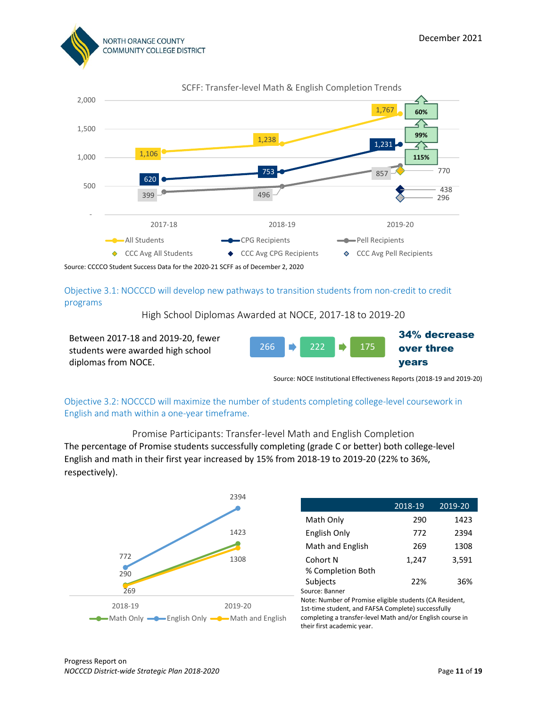



Objective 3.1: NOCCCD will develop new pathways to transition students from non-credit to credit programs

High School Diplomas Awarded at NOCE, 2017-18 to 2019-20

| Between 2017-18 and 2019-20, fewer |  |         |        | 34% decrease |
|------------------------------------|--|---------|--------|--------------|
| students were awarded high school  |  | 266 222 | $-175$ | over three   |
| diplomas from NOCE.                |  |         |        | <b>vears</b> |

Source: NOCE Institutional Effectiveness Reports (2018-19 and 2019-20)

Objective 3.2: NOCCCD will maximize the number of students completing college-level coursework in English and math within a one-year timeframe.

Promise Participants: Transfer-level Math and English Completion The percentage of Promise students successfully completing (grade C or better) both college-level English and math in their first year increased by 15% from 2018-19 to 2019-20 (22% to 36%, respectively).



|                                                           | 2018-19 | 2019-20 |
|-----------------------------------------------------------|---------|---------|
| Math Only                                                 | 290     | 1423    |
| English Only                                              | 772     | 2394    |
| Math and English                                          | 269     | 1308    |
| Cohort N                                                  | 1,247   | 3,591   |
| % Completion Both                                         |         |         |
| Subjects                                                  | 22%     | 36%     |
| Source: Banner                                            |         |         |
| Note: Number of Promise eligible students (CA Resident,   |         |         |
| 1st-time student, and FAFSA Complete) successfully        |         |         |
| completing a transfer-level Math and/or English course in |         |         |
| their first academic year.                                |         |         |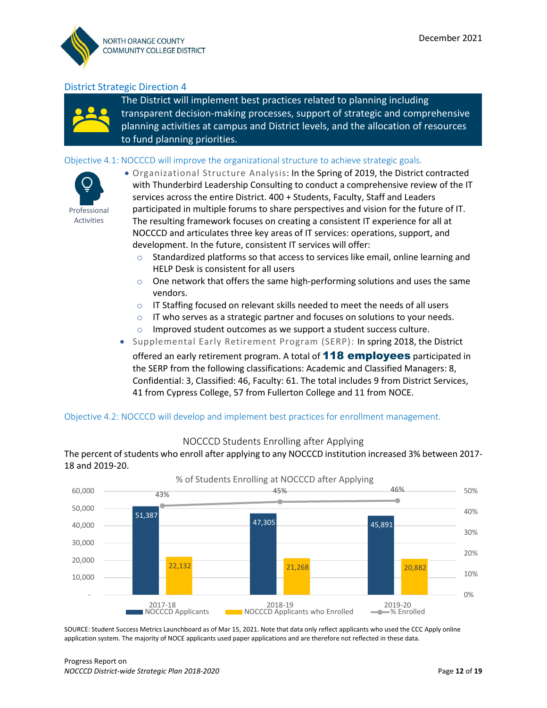

The District will implement best practices related to planning including transparent decision-making processes, support of strategic and comprehensive planning activities at campus and District levels, and the allocation of resources to fund planning priorities.

#### Objective 4.1: NOCCCD will improve the organizational structure to achieve strategic goals.



• Organizational Structure Analysis: In the Spring of 2019, the District contracted with Thunderbird Leadership Consulting to conduct a comprehensive review of the IT services across the entire District. 400 + Students, Faculty, Staff and Leaders participated in multiple forums to share perspectives and vision for the future of IT. The resulting framework focuses on creating a consistent IT experience for all at NOCCCD and articulates three key areas of IT services: operations, support, and development. In the future, consistent IT services will offer:

- o Standardized platforms so that access to services like email, online learning and HELP Desk is consistent for all users
- $\circ$  One network that offers the same high-performing solutions and uses the same vendors.
- o IT Staffing focused on relevant skills needed to meet the needs of all users
- $\circ$  IT who serves as a strategic partner and focuses on solutions to your needs.
- o Improved student outcomes as we support a student success culture.
- Supplemental Early Retirement Program (SERP): In spring 2018, the District offered an early retirement program. A total of **118 employees** participated in the SERP from the following classifications: Academic and Classified Managers: 8, Confidential: 3, Classified: 46, Faculty: 61. The total includes 9 from District Services, 41 from Cypress College, 57 from Fullerton College and 11 from NOCE.

#### Objective 4.2: NOCCCD will develop and implement best practices for enrollment management.



NOCCCD Students Enrolling after Applying

The percent of students who enroll after applying to any NOCCCD institution increased 3% between 2017- 18 and 2019-20.

SOURCE: Student Success Metrics Launchboard as of Mar 15, 2021. Note that data only reflect applicants who used the CCC Apply online application system. The majority of NOCE applicants used paper applications and are therefore not reflected in these data.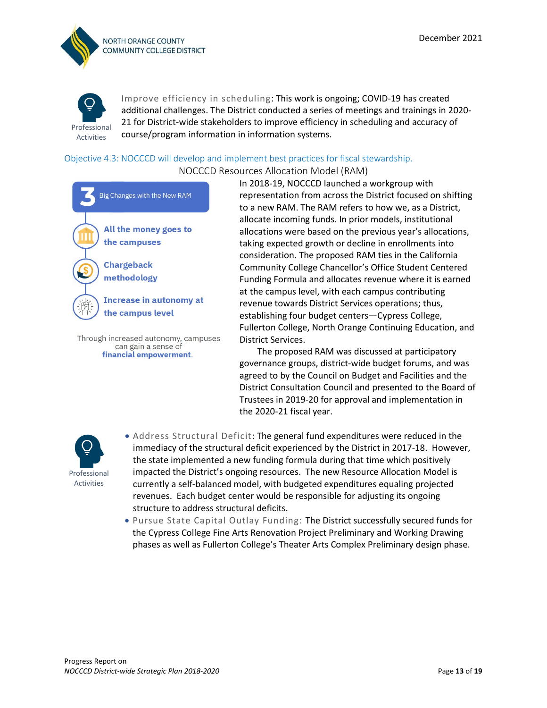



Improve efficiency in scheduling: This work is ongoing; COVID-19 has created additional challenges. The District conducted a series of meetings and trainings in 2020- 21 for District-wide stakeholders to improve efficiency in scheduling and accuracy of course/program information in information systems.

#### Objective 4.3: NOCCCD will develop and implement best practices for fiscal stewardship.

NOCCCD Resources Allocation Model (RAM) **Big Changes with the New RAM** All the money goes to the campuses **Chargeback** methodology **Increase in autonomy at** the campus level Through increased autonomy, campuses can gain a sense of financial empowerment.

In 2018-19, NOCCCD launched a workgroup with representation from across the District focused on shifting to a new RAM. The RAM refers to how we, as a District, allocate incoming funds. In prior models, institutional allocations were based on the previous year's allocations, taking expected growth or decline in enrollments into consideration. The proposed RAM ties in the California Community College Chancellor's Office Student Centered Funding Formula and allocates revenue where it is earned at the campus level, with each campus contributing revenue towards District Services operations; thus, establishing four budget centers—Cypress College, Fullerton College, North Orange Continuing Education, and District Services.

 The proposed RAM was discussed at participatory governance groups, district-wide budget forums, and was agreed to by the Council on Budget and Facilities and the District Consultation Council and presented to the Board of Trustees in 2019-20 for approval and implementation in the 2020-21 fiscal year.



- Address Structural Deficit: The general fund expenditures were reduced in the immediacy of the structural deficit experienced by the District in 2017-18. However, the state implemented a new funding formula during that time which positively impacted the District's ongoing resources. The new Resource Allocation Model is currently a self-balanced model, with budgeted expenditures equaling projected revenues. Each budget center would be responsible for adjusting its ongoing structure to address structural deficits.
- Pursue State Capital Outlay Funding: The District successfully secured funds for the Cypress College Fine Arts Renovation Project Preliminary and Working Drawing phases as well as Fullerton College's Theater Arts Complex Preliminary design phase.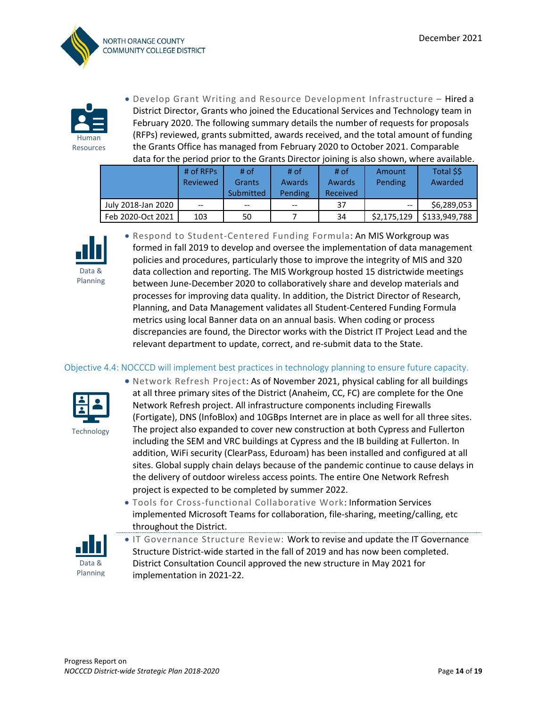



• Develop Grant Writing and Resource Development Infrastructure – Hired a District Director, Grants who joined the Educational Services and Technology team in February 2020. The following summary details the number of requests for proposals (RFPs) reviewed, grants submitted, awards received, and the total amount of funding the Grants Office has managed from February 2020 to October 2021. Comparable data for the period prior to the Grants Director joining is also shown, where available.

|                    | $#$ of RFPs<br>Reviewed | # of<br>Grants<br>Submitted | # of<br>Awards<br>Pending <sup>1</sup> | # of<br>Awards<br>Received | Amount<br>Pending | Total \$\$<br>Awarded |
|--------------------|-------------------------|-----------------------------|----------------------------------------|----------------------------|-------------------|-----------------------|
| July 2018-Jan 2020 | $- -$                   | $- -$                       | $- -$                                  | 37                         | $- -$             | \$6,289,053           |
| Feb 2020-Oct 2021  | 103                     | 50                          |                                        | 34                         | \$2,175,129       | \$133,949,788         |



• Respond to Student-Centered Funding Formula: An MIS Workgroup was formed in fall 2019 to develop and oversee the implementation of data management policies and procedures, particularly those to improve the integrity of MIS and 320 data collection and reporting. The MIS Workgroup hosted 15 districtwide meetings between June-December 2020 to collaboratively share and develop materials and processes for improving data quality. In addition, the District Director of Research, Planning, and Data Management validates all Student-Centered Funding Formula metrics using local Banner data on an annual basis. When coding or process discrepancies are found, the Director works with the District IT Project Lead and the relevant department to update, correct, and re-submit data to the State.

#### Objective 4.4: NOCCCD will implement best practices in technology planning to ensure future capacity.



• Network Refresh Project: As of November 2021, physical cabling for all buildings at all three primary sites of the District (Anaheim, CC, FC) are complete for the One Network Refresh project. All infrastructure components including Firewalls (Fortigate), DNS (InfoBlox) and 10GBps Internet are in place as well for all three sites. The project also expanded to cover new construction at both Cypress and Fullerton including the SEM and VRC buildings at Cypress and the IB building at Fullerton. In addition, WiFi security (ClearPass, Eduroam) has been installed and configured at all sites. Global supply chain delays because of the pandemic continue to cause delays in the delivery of outdoor wireless access points. The entire One Network Refresh project is expected to be completed by summer 2022.

• Tools for Cross-functional Collaborative Work: Information Services implemented Microsoft Teams for collaboration, file-sharing, meeting/calling, etc throughout the District.



• IT Governance Structure Review: Work to revise and update the IT Governance Structure District-wide started in the fall of 2019 and has now been completed. District Consultation Council approved the new structure in May 2021 for implementation in 2021-22.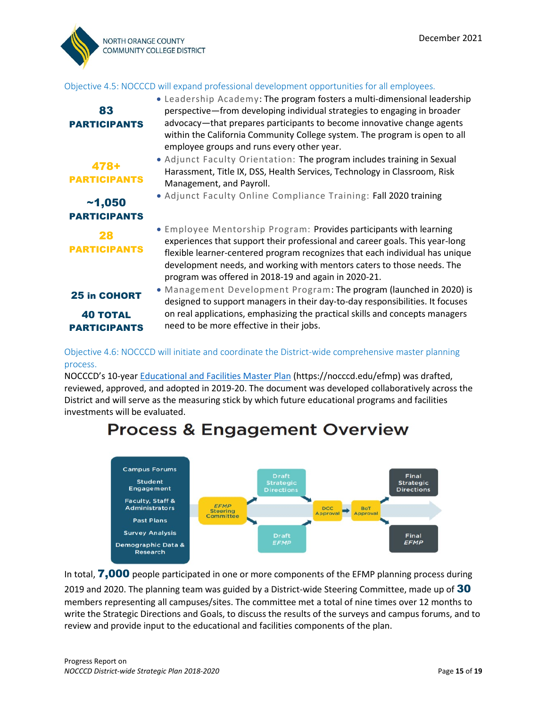

#### Objective 4.5: NOCCCD will expand professional development opportunities for all employees.

| ~1,050              | • Employee Mentorship Program: Provides participants with learning                                                          |
|---------------------|-----------------------------------------------------------------------------------------------------------------------------|
| <b>PARTICIPANTS</b> | experiences that support their professional and career goals. This year-long                                                |
| 28                  | flexible learner-centered program recognizes that each individual has unique                                                |
| <b>PARTICIPANTS</b> | development needs, and working with mentors caters to those needs. The                                                      |
|                     | program was offered in 2018-19 and again in 2020-21.<br>• Management Development Program: The program (launched in 2020) is |

Objective 4.6: NOCCCD will initiate and coordinate the District-wide comprehensive master planning process.

NOCCCD's 10-year [Educational and Facilities Master Plan](https://nocccd.edu/efmp) (https://nocccd.edu/efmp) was drafted, reviewed, approved, and adopted in 2019-20. The document was developed collaboratively across the District and will serve as the measuring stick by which future educational programs and facilities investments will be evaluated.

# **Process & Engagement Overview**



In total, **7,000** people participated in one or more components of the EFMP planning process during

2019 and 2020. The planning team was guided by a District-wide Steering Committee, made up of 30 members representing all campuses/sites. The committee met a total of nine times over 12 months to write the Strategic Directions and Goals, to discuss the results of the surveys and campus forums, and to review and provide input to the educational and facilities components of the plan.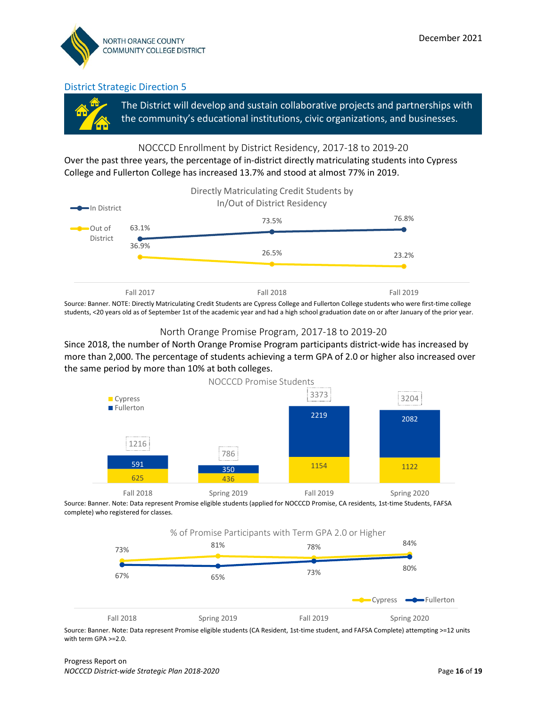

The District will develop and sustain collaborative projects and partnerships with the community's educational institutions, civic organizations, and businesses.

#### NOCCCD Enrollment by District Residency, 2017-18 to 2019-20

Over the past three years, the percentage of in-district directly matriculating students into Cypress College and Fullerton College has increased 13.7% and stood at almost 77% in 2019.



Source: Banner. NOTE: Directly Matriculating Credit Students are Cypress College and Fullerton College students who were first-time college students, <20 years old as of September 1st of the academic year and had a high school graduation date on or after January of the prior year.

#### North Orange Promise Program, 2017-18 to 2019-20

Since 2018, the number of North Orange Promise Program participants district-wide has increased by more than 2,000. The percentage of students achieving a term GPA of 2.0 or higher also increased over the same period by more than 10% at both colleges.



Source: Banner. Note: Data represent Promise eligible students (applied for NOCCCD Promise, CA residents, 1st-time Students, FAFSA complete) who registered for classes.



Source: Banner. Note: Data represent Promise eligible students (CA Resident, 1st-time student, and FAFSA Complete) attempting >=12 units with term GPA >=2.0.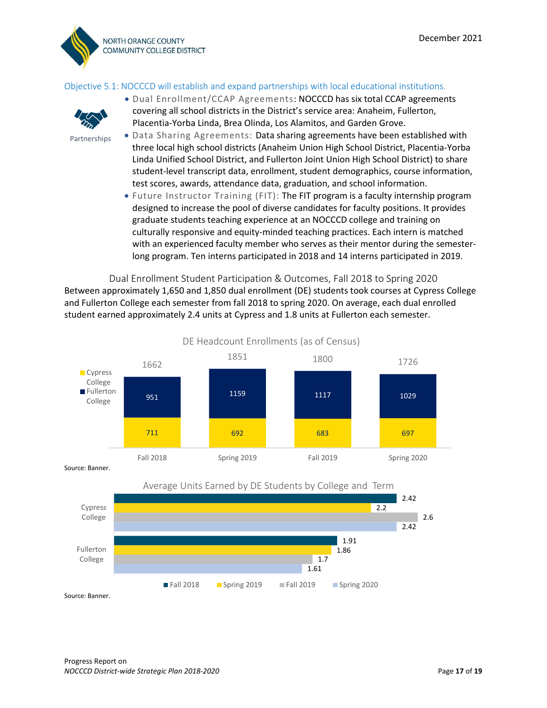

#### Objective 5.1: NOCCCD will establish and expand partnerships with local educational institutions.



Partnerships

- Dual Enrollment/CCAP Agreements: NOCCCD has six total CCAP agreements covering all school districts in the District's service area: Anaheim, Fullerton, Placentia-Yorba Linda, Brea Olinda, Los Alamitos, and Garden Grove.
- Data Sharing Agreements: Data sharing agreements have been established with three local high school districts (Anaheim Union High School District, Placentia-Yorba Linda Unified School District, and Fullerton Joint Union High School District) to share student-level transcript data, enrollment, student demographics, course information, test scores, awards, attendance data, graduation, and school information.
	- Future Instructor Training (FIT): The FIT program is a faculty internship program designed to increase the pool of diverse candidates for faculty positions. It provides graduate students teaching experience at an NOCCCD college and training on culturally responsive and equity-minded teaching practices. Each intern is matched with an experienced faculty member who serves as their mentor during the semesterlong program. Ten interns participated in 2018 and 14 interns participated in 2019.

Dual Enrollment Student Participation & Outcomes, Fall 2018 to Spring 2020 Between approximately 1,650 and 1,850 dual enrollment (DE) students took courses at Cypress College and Fullerton College each semester from fall 2018 to spring 2020. On average, each dual enrolled student earned approximately 2.4 units at Cypress and 1.8 units at Fullerton each semester.



DE Headcount Enrollments (as of Census)

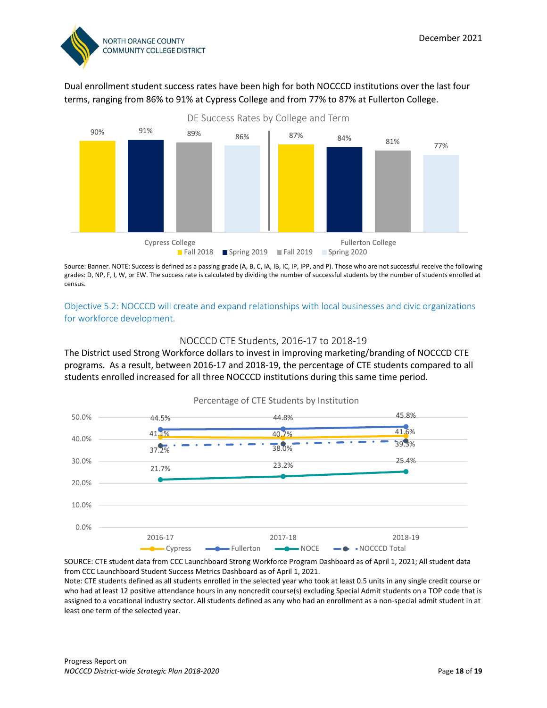

Dual enrollment student success rates have been high for both NOCCCD institutions over the last four terms, ranging from 86% to 91% at Cypress College and from 77% to 87% at Fullerton College.



Source: Banner. NOTE: Success is defined as a passing grade (A, B, C, IA, IB, IC, IP, IPP, and P). Those who are not successful receive the following grades: D, NP, F, I, W, or EW. The success rate is calculated by dividing the number of successful students by the number of students enrolled at census.

Objective 5.2: NOCCCD will create and expand relationships with local businesses and civic organizations for workforce development.

#### NOCCCD CTE Students, 2016-17 to 2018-19

The District used Strong Workforce dollars to invest in improving marketing/branding of NOCCCD CTE programs. As a result, between 2016-17 and 2018-19, the percentage of CTE students compared to all students enrolled increased for all three NOCCCD institutions during this same time period.



SOURCE: CTE student data from CCC Launchboard Strong Workforce Program Dashboard as of April 1, 2021; All student data from CCC Launchboard Student Success Metrics Dashboard as of April 1, 2021.

Note: CTE students defined as all students enrolled in the selected year who took at least 0.5 units in any single credit course or who had at least 12 positive attendance hours in any noncredit course(s) excluding Special Admit students on a TOP code that is assigned to a vocational industry sector. All students defined as any who had an enrollment as a non-special admit student in at least one term of the selected year.